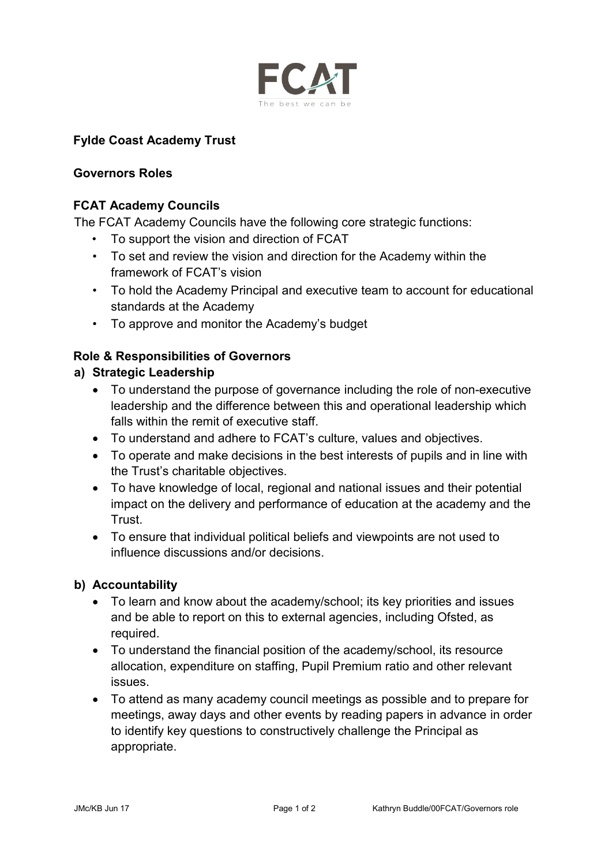

## **Fylde Coast Academy Trust**

#### **Governors Roles**

### **FCAT Academy Councils**

The FCAT Academy Councils have the following core strategic functions:

- To support the vision and direction of FCAT
- To set and review the vision and direction for the Academy within the framework of FCAT's vision
- To hold the Academy Principal and executive team to account for educational standards at the Academy
- To approve and monitor the Academy's budget

# **Role & Responsibilities of Governors**

### **a) Strategic Leadership**

- To understand the purpose of governance including the role of non-executive leadership and the difference between this and operational leadership which falls within the remit of executive staff.
- To understand and adhere to FCAT's culture, values and objectives.
- To operate and make decisions in the best interests of pupils and in line with the Trust's charitable objectives.
- To have knowledge of local, regional and national issues and their potential impact on the delivery and performance of education at the academy and the Trust.
- To ensure that individual political beliefs and viewpoints are not used to influence discussions and/or decisions.

### **b) Accountability**

- To learn and know about the academy/school; its key priorities and issues and be able to report on this to external agencies, including Ofsted, as required.
- To understand the financial position of the academy/school, its resource allocation, expenditure on staffing, Pupil Premium ratio and other relevant issues.
- To attend as many academy council meetings as possible and to prepare for meetings, away days and other events by reading papers in advance in order to identify key questions to constructively challenge the Principal as appropriate.